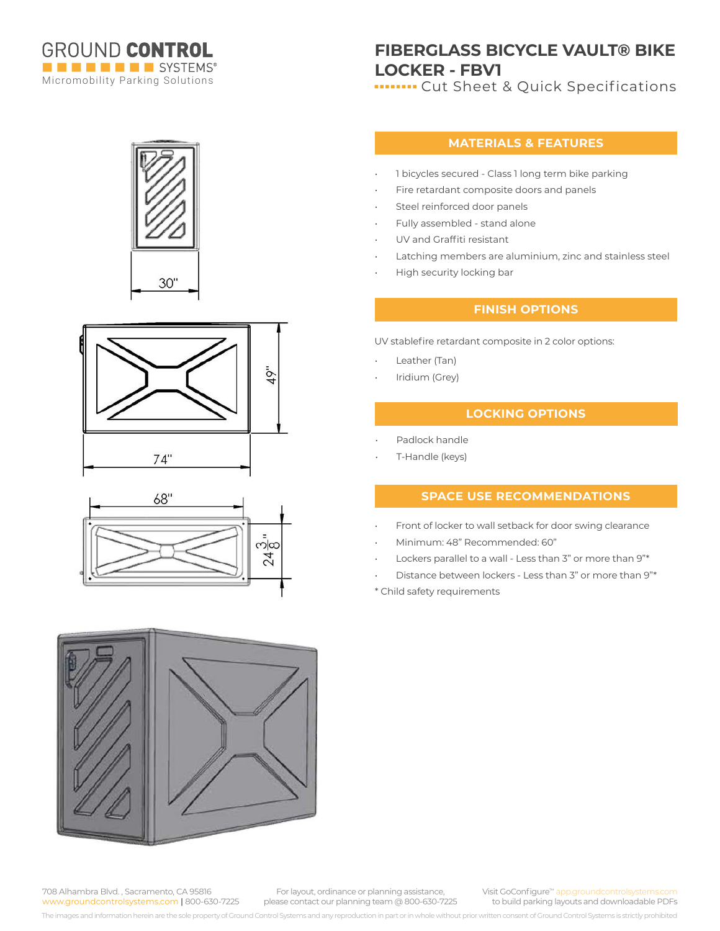

# **FIBERGLASS BICYCLE VAULT® BIKE LOCKER - FBV1**

**In THE CUT Sheet & Quick Specifications** 

### **MATERIALS & FEATURES**

- 1 bicycles secured Class 1 long term bike parking
- Fire retardant composite doors and panels
- Steel reinforced door panels
- Fully assembled stand alone
- UV and Graffiti resistant
- Latching members are aluminium, zinc and stainless steel
- High security locking bar

## **FINISH OPTIONS**

UV stablefire retardant composite in 2 color options:

- Leather (Tan)
- Iridium (Grey)

### **LOCKING OPTIONS**

- Padlock handle
- T-Handle (keys)

#### **SPACE USE RECOMMENDATIONS**

- Front of locker to wall setback for door swing clearance
- Minimum: 48" Recommended: 60"
- Lockers parallel to a wall Less than 3" or more than 9"\*
- Distance between lockers Less than 3" or more than 9"\*

\* Child safety requirements









708 Alhambra Blvd. , Sacramento, CA 95816 www.groundcontrolsystems.com **|** 800-630-7225

For layout, ordinance or planning assistance, please contact our planning team @ 800-630-7225 Visit GoConfigure™ app.groundcontrolsyste to build parking layouts and downloadable PDFs

The images and information herein are the sole property of Ground Control Systems and any reproduction in part or in whole without prior written consent of Ground Control Systems is strictly prohibited